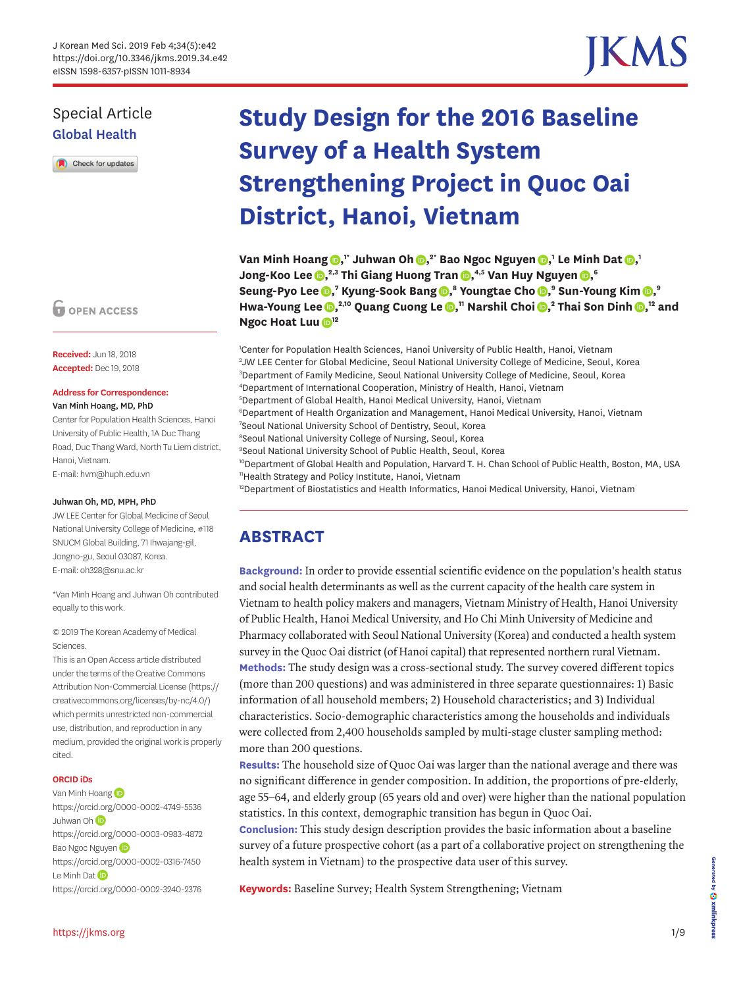# IKMS

# Special Article Global Health

Check for updates



**Received:** Jun 18, 2018 **Accepted:** Dec 19, 2018

#### **Address for Correspondence:** Van Minh Hoang, MD, PhD

Center for Population Health Sciences, Hanoi University of Public Health, 1A Duc Thang Road, Duc Thang Ward, North Tu Liem district,

Hanoi, Vietnam. E-mail: hvm@huph.edu.vn

#### Juhwan Oh, MD, MPH, PhD

JW LEE Center for Global Medicine of Seoul National University College of Medicine, #118 SNUCM Global Building, 71 Ihwajang-gil, Jongno-gu, Seoul 03087, Korea. E-mail: oh328@snu.ac.kr

\*Van Minh Hoang and Juhwan Oh contributed equally to this work.

© 2019 The Korean Academy of Medical Sciences.

This is an Open Access article distributed under the terms of the Creative Commons Attribution Non-Commercial License ([https://](https://creativecommons.org/licenses/by-nc/4.0/) [creativecommons.org/licenses/by-nc/4.0/\)](https://creativecommons.org/licenses/by-nc/4.0/) which permits unrestricted non-commercial use, distribution, and reproduction in any medium, provided the original work is properly cited.

#### **ORCID iDs**

Van Minh Hoan[g](https://orcid.org/0000-0002-4749-5536) (D

<https://orcid.org/0000-0002-4749-5536> Juhwan Oh<sup>D</sup> <https://orcid.org/0000-0003-0983-4872> Bao Ngoc Nguye[n](https://orcid.org/0000-0002-0316-7450) (D <https://orcid.org/0000-0002-0316-7450> Le Minh Da[t](https://orcid.org/0000-0002-3240-2376) **D** <https://orcid.org/0000-0002-3240-2376>

# **Study Design for the 2016 Baseline Survey of a Health System Strengthening Project in Quoc Oai District, Hanoi, Vietnam**

**Van Minh Hoang**  $\bullet$ **[,](https://orcid.org/0000-0002-3240-2376)'' Juhwan Oh** $\bullet$ **,** $^{2^\star}$  **Bao Ngoc Nguyen**  $\bullet$ **,' Le Minh Dat**  $\bullet$ **,' Jong-Koo Lee [,](https://orcid.org/0000-0003-4833-1178) 2,3 Thi Giang Huong Tran [,](https://orcid.org/0000-0003-3477-3493) 4,5 Van Huy Nguyen [,](https://orcid.org/0000-0002-5896-9661) 6**  $\mathbf{S}$ eung-Pyo Lee  $\mathbf{D},^7$  $\mathbf{D},^7$  $\mathbf{D},^7$  Kyung-Sook Bang  $\mathbf{D},^8$  Youngtae Cho  $\mathbf{D},^9$  Sun-Young Kim  $\mathbf{D},^9$ Hwa-Young Lee  $\bullet$ [,](https://orcid.org/0000-0001-9988-4587)<sup>2,10</sup> Quang Cuong Le  $\bullet$ ,<sup>11</sup> Narshil Choi $\bullet$ ,<sup>2</sup> Thai Son Dinh  $\bullet$ ,<sup>12</sup> and **Ngoc Hoat Luu D**<sup>[1](https://orcid.org/0000-0001-6911-5410)2</sup>

 Center for Population Health Sciences, Hanoi University of Public Health, Hanoi, Vietnam JW LEE Center for Global Medicine, Seoul National University College of Medicine, Seoul, Korea Department of Family Medicine, Seoul National University College of Medicine, Seoul, Korea Department of International Cooperation, Ministry of Health, Hanoi, Vietnam Department of Global Health, Hanoi Medical University, Hanoi, Vietnam Department of Health Organization and Management, Hanoi Medical University, Hanoi, Vietnam Seoul National University School of Dentistry, Seoul, Korea <sup>8</sup>Seoul National University College of Nursing, Seoul, Korea Seoul National University School of Public Health, Seoul, Korea <sup>10</sup>Department of Global Health and Population, Harvard T. H. Chan School of Public Health, Boston, MA, USA <sup>11</sup>Health Strategy and Policy Institute, Hanoi, Vietnam

#### <sup>12</sup>Department of Biostatistics and Health Informatics, Hanoi Medical University, Hanoi, Vietnam

# **ABSTRACT**

**Background:** In order to provide essential scientific evidence on the population's health status and social health determinants as well as the current capacity of the health care system in Vietnam to health policy makers and managers, Vietnam Ministry of Health, Hanoi University of Public Health, Hanoi Medical University, and Ho Chi Minh University of Medicine and Pharmacy collaborated with Seoul National University (Korea) and conducted a health system survey in the Quoc Oai district (of Hanoi capital) that represented northern rural Vietnam. **Methods:** The study design was a cross-sectional study. The survey covered different topics (more than 200 questions) and was administered in three separate questionnaires: 1) Basic information of all household members; 2) Household characteristics; and 3) Individual characteristics. Socio-demographic characteristics among the households and individuals were collected from 2,400 households sampled by multi-stage cluster sampling method: more than 200 questions.

**Results:** The household size of Quoc Oai was larger than the national average and there was no significant difference in gender composition. In addition, the proportions of pre-elderly, age 55–64, and elderly group (65 years old and over) were higher than the national population statistics. In this context, demographic transition has begun in Quoc Oai.

**Conclusion:** This study design description provides the basic information about a baseline survey of a future prospective cohort (as a part of a collaborative project on strengthening the health system in Vietnam) to the prospective data user of this survey.

**Keywords:** Baseline Survey; Health System Strengthening; Vietnam

Generated by samillar press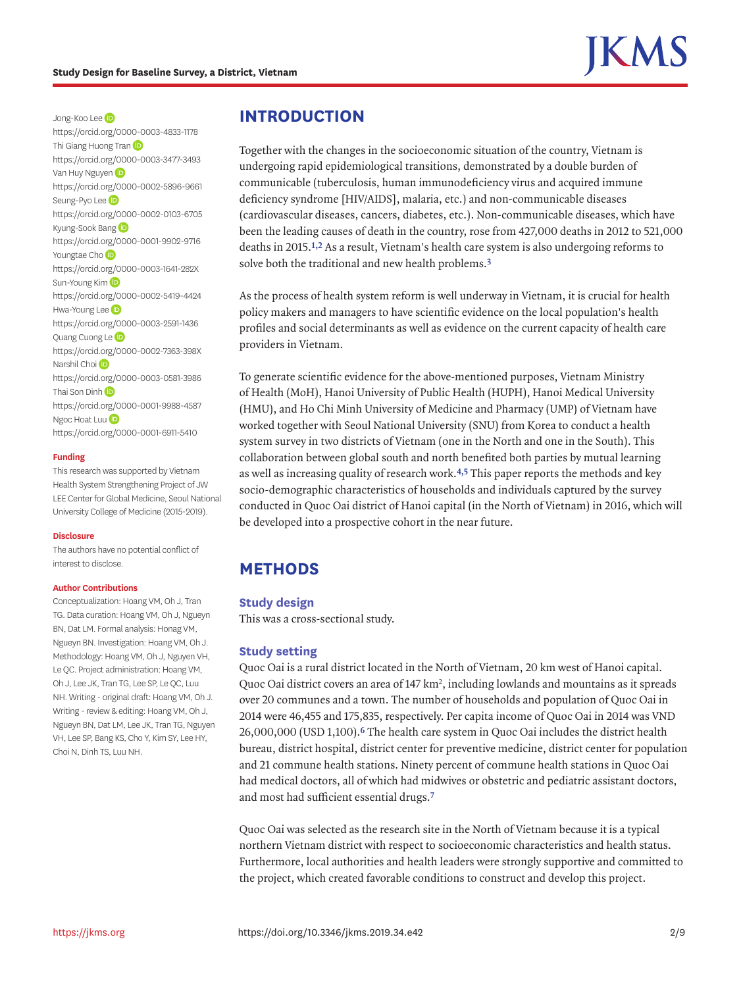Jong-Koo Lee

<https://orcid.org/0000-0003-4833-1178> Thi Giang Huong Tran <https://orcid.org/0000-0003-3477-3493> Va[n](https://orcid.org/0000-0002-5896-9661) Huy Nguyen D <https://orcid.org/0000-0002-5896-9661> Seung-Pyo Lee <https://orcid.org/0000-0002-0103-6705> Kyung-Sook Ban[g](https://orcid.org/0000-0001-9902-9716)  <https://orcid.org/0000-0001-9902-9716> Youngtae Cho <https://orcid.org/0000-0003-1641-282X> Sun-Young Kim <https://orcid.org/0000-0002-5419-4424> Hwa-Young Le[e](https://orcid.org/0000-0003-2591-1436) **D** <https://orcid.org/0000-0003-2591-1436> Quang Cuong Le <https://orcid.org/0000-0002-7363-398X> Narshil Choi<sup>D</sup> <https://orcid.org/0000-0003-0581-3986> Thai Son Dinh<sup>D</sup> <https://orcid.org/0000-0001-9988-4587> Ngoc Hoat Lu[u](https://orcid.org/0000-0001-6911-5410) D <https://orcid.org/0000-0001-6911-5410>

#### **Funding**

This research was supported by Vietnam Health System Strengthening Project of JW LEE Center for Global Medicine, Seoul National University College of Medicine (2015-2019).

#### **Disclosure**

The authors have no potential conflict of interest to disclose.

#### **Author Contributions**

Conceptualization: Hoang VM, Oh J, Tran TG. Data curation: Hoang VM, Oh J, Ngueyn BN, Dat LM. Formal analysis: Honag VM, Ngueyn BN. Investigation: Hoang VM, Oh J. Methodology: Hoang VM, Oh J, Nguyen VH, Le QC. Project administration: Hoang VM, Oh J, Lee JK, Tran TG, Lee SP, Le QC, Luu NH. Writing - original draft: Hoang VM, Oh J. Writing - review & editing: Hoang VM, Oh J, Ngueyn BN, Dat LM, Lee JK, Tran TG, Nguyen VH, Lee SP, Bang KS, Cho Y, Kim SY, Lee HY, Choi N, Dinh TS, Luu NH.

# **INTRODUCTION**

Together with the changes in the socioeconomic situation of the country, Vietnam is undergoing rapid epidemiological transitions, demonstrated by a double burden of communicable (tuberculosis, human immunodeficiency virus and acquired immune deficiency syndrome [HIV/AIDS], malaria, etc.) and non-communicable diseases (cardiovascular diseases, cancers, diabetes, etc.). Non-communicable diseases, which have been the leading causes of death in the country, rose from 427,000 deaths in 2012 to 521,000 deaths in 2015.**[1,](#page-7-0)[2](#page-7-1)** As a result, Vietnam's health care system is also undergoing reforms to solve both the traditional and new health problems.**[3](#page-7-2)**

<span id="page-1-1"></span><span id="page-1-0"></span>As the process of health system reform is well underway in Vietnam, it is crucial for health policy makers and managers to have scientific evidence on the local population's health profiles and social determinants as well as evidence on the current capacity of health care providers in Vietnam.

To generate scientific evidence for the above-mentioned purposes, Vietnam Ministry of Health (MoH), Hanoi University of Public Health (HUPH), Hanoi Medical University (HMU), and Ho Chi Minh University of Medicine and Pharmacy (UMP) of Vietnam have worked together with Seoul National University (SNU) from Korea to conduct a health system survey in two districts of Vietnam (one in the North and one in the South). This collaboration between global south and north benefited both parties by mutual learning as well as increasing quality of research work.**[4,](#page-8-0)[5](#page-8-1)** This paper reports the methods and key socio-demographic characteristics of households and individuals captured by the survey conducted in Quoc Oai district of Hanoi capital (in the North of Vietnam) in 2016, which will be developed into a prospective cohort in the near future.

# <span id="page-1-2"></span>**METHODS**

#### **Study design**

This was a cross-sectional study.

#### **Study setting**

<span id="page-1-3"></span>Quoc Oai is a rural district located in the North of Vietnam, 20 km west of Hanoi capital. Quoc Oai district covers an area of 147 km<sup>2</sup>, including lowlands and mountains as it spreads over 20 communes and a town. The number of households and population of Quoc Oai in 2014 were 46,455 and 175,835, respectively. Per capita income of Quoc Oai in 2014 was VND 26,000,000 (USD 1,100).**[6](#page-8-2)** The health care system in Quoc Oai includes the district health bureau, district hospital, district center for preventive medicine, district center for population and 21 commune health stations. Ninety percent of commune health stations in Quoc Oai had medical doctors, all of which had midwives or obstetric and pediatric assistant doctors, and most had sufficient essential drugs.**[7](#page-8-3)**

<span id="page-1-4"></span>Quoc Oai was selected as the research site in the North of Vietnam because it is a typical northern Vietnam district with respect to socioeconomic characteristics and health status. Furthermore, local authorities and health leaders were strongly supportive and committed to the project, which created favorable conditions to construct and develop this project.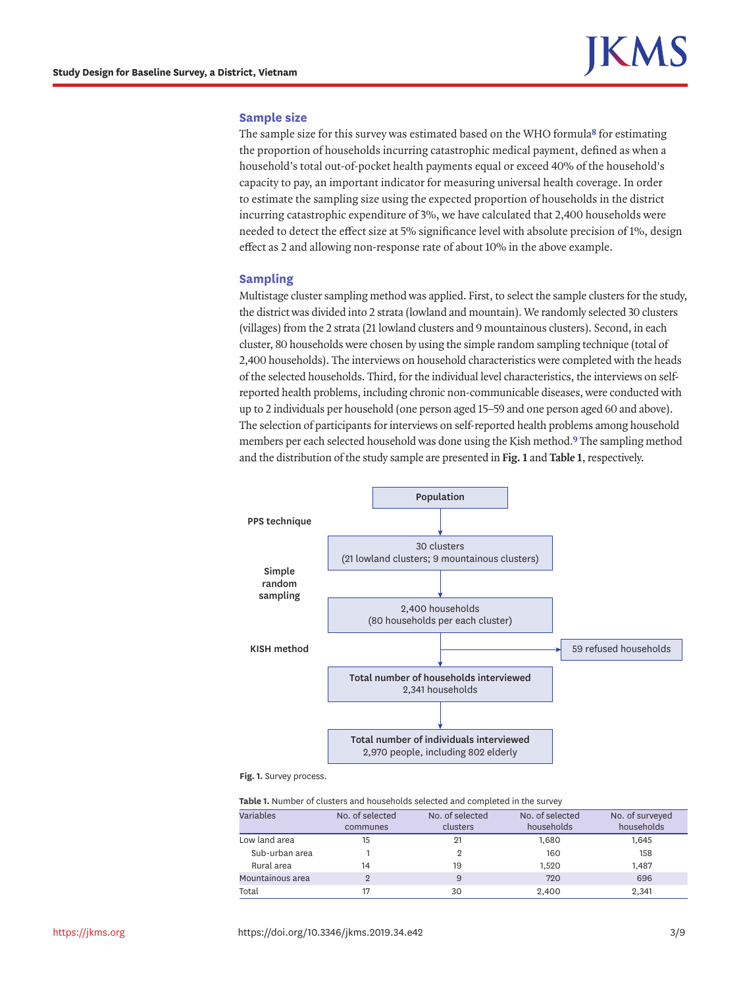#### **Sample size**

<span id="page-2-2"></span>The sample size for this survey was estimated based on the WHO formula**[8](#page-8-4)** for estimating the proportion of households incurring catastrophic medical payment, defined as when a household's total out-of-pocket health payments equal or exceed 40% of the household's capacity to pay, an important indicator for measuring universal health coverage. In order to estimate the sampling size using the expected proportion of households in the district incurring catastrophic expenditure of 3%, we have calculated that 2,400 households were needed to detect the effect size at 5% significance level with absolute precision of 1%, design effect as 2 and allowing non-response rate of about 10% in the above example.

#### **Sampling**

Multistage cluster sampling method was applied. First, to select the sample clusters for the study, the district was divided into 2 strata (lowland and mountain). We randomly selected 30 clusters (villages) from the 2 strata (21 lowland clusters and 9 mountainous clusters). Second, in each cluster, 80 households were chosen by using the simple random sampling technique (total of 2,400 households). The interviews on household characteristics were completed with the heads of the selected households. Third, for the individual level characteristics, the interviews on selfreported health problems, including chronic non-communicable diseases, were conducted with up to 2 individuals per household (one person aged 15–59 and one person aged 60 and above). The selection of participants for interviews on self-reported health problems among household members per each selected household was done using the Kish method.**[9](#page-8-5)** The sampling method and the distribution of the study sample are presented in **[Fig. 1](#page-2-0)** and **[Table 1](#page-2-1)**, respectively.

<span id="page-2-3"></span>

#### <span id="page-2-0"></span>**Fig. 1.** Survey process.

<span id="page-2-1"></span>**Table 1.** Number of clusters and households selected and completed in the survey

| Variables        | No. of selected<br>communes | No. of selected<br>clusters | No. of selected<br>households | No. of surveyed<br>households |
|------------------|-----------------------------|-----------------------------|-------------------------------|-------------------------------|
| Low land area    | 15                          | 21                          | 1,680                         | 1,645                         |
| Sub-urban area   |                             |                             | 160                           | 158                           |
| Rural area       | 14                          | 19                          | 1,520                         | 1,487                         |
| Mountainous area |                             | 9                           | 720                           | 696                           |
| Total            |                             | 30                          | 2.400                         | 2,341                         |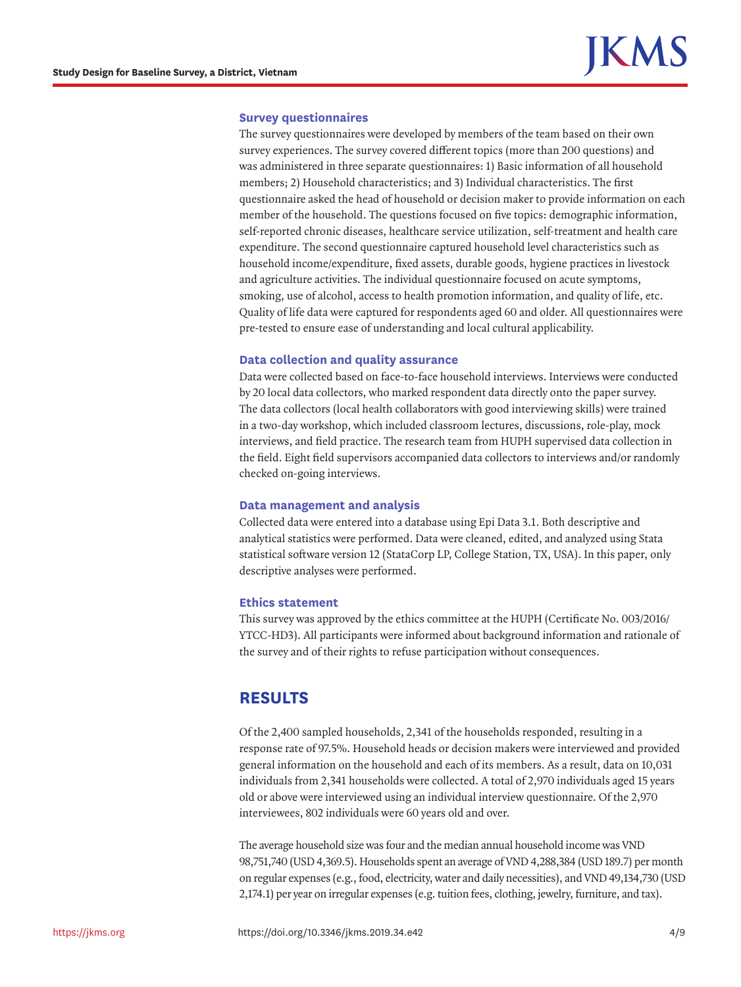#### **Survey questionnaires**

The survey questionnaires were developed by members of the team based on their own survey experiences. The survey covered different topics (more than 200 questions) and was administered in three separate questionnaires: 1) Basic information of all household members; 2) Household characteristics; and 3) Individual characteristics. The first questionnaire asked the head of household or decision maker to provide information on each member of the household. The questions focused on five topics: demographic information, self-reported chronic diseases, healthcare service utilization, self-treatment and health care expenditure. The second questionnaire captured household level characteristics such as household income/expenditure, fixed assets, durable goods, hygiene practices in livestock and agriculture activities. The individual questionnaire focused on acute symptoms, smoking, use of alcohol, access to health promotion information, and quality of life, etc. Quality of life data were captured for respondents aged 60 and older. All questionnaires were pre-tested to ensure ease of understanding and local cultural applicability.

#### **Data collection and quality assurance**

Data were collected based on face-to-face household interviews. Interviews were conducted by 20 local data collectors, who marked respondent data directly onto the paper survey. The data collectors (local health collaborators with good interviewing skills) were trained in a two-day workshop, which included classroom lectures, discussions, role-play, mock interviews, and field practice. The research team from HUPH supervised data collection in the field. Eight field supervisors accompanied data collectors to interviews and/or randomly checked on-going interviews.

#### **Data management and analysis**

Collected data were entered into a database using Epi Data 3.1. Both descriptive and analytical statistics were performed. Data were cleaned, edited, and analyzed using Stata statistical software version 12 (StataCorp LP, College Station, TX, USA). In this paper, only descriptive analyses were performed.

#### **Ethics statement**

This survey was approved by the ethics committee at the HUPH (Certificate No. 003/2016/ YTCC-HD3). All participants were informed about background information and rationale of the survey and of their rights to refuse participation without consequences.

### **RESULTS**

Of the 2,400 sampled households, 2,341 of the households responded, resulting in a response rate of 97.5%. Household heads or decision makers were interviewed and provided general information on the household and each of its members. As a result, data on 10,031 individuals from 2,341 households were collected. A total of 2,970 individuals aged 15 years old or above were interviewed using an individual interview questionnaire. Of the 2,970 interviewees, 802 individuals were 60 years old and over.

The average household size was four and the median annual household income was VND 98,751,740 (USD 4,369.5). Households spent an average of VND 4,288,384 (USD 189.7) per month on regular expenses (e.g., food, electricity, water and daily necessities), and VND 49,134,730 (USD 2,174.1) per year on irregular expenses (e.g. tuition fees, clothing, jewelry, furniture, and tax).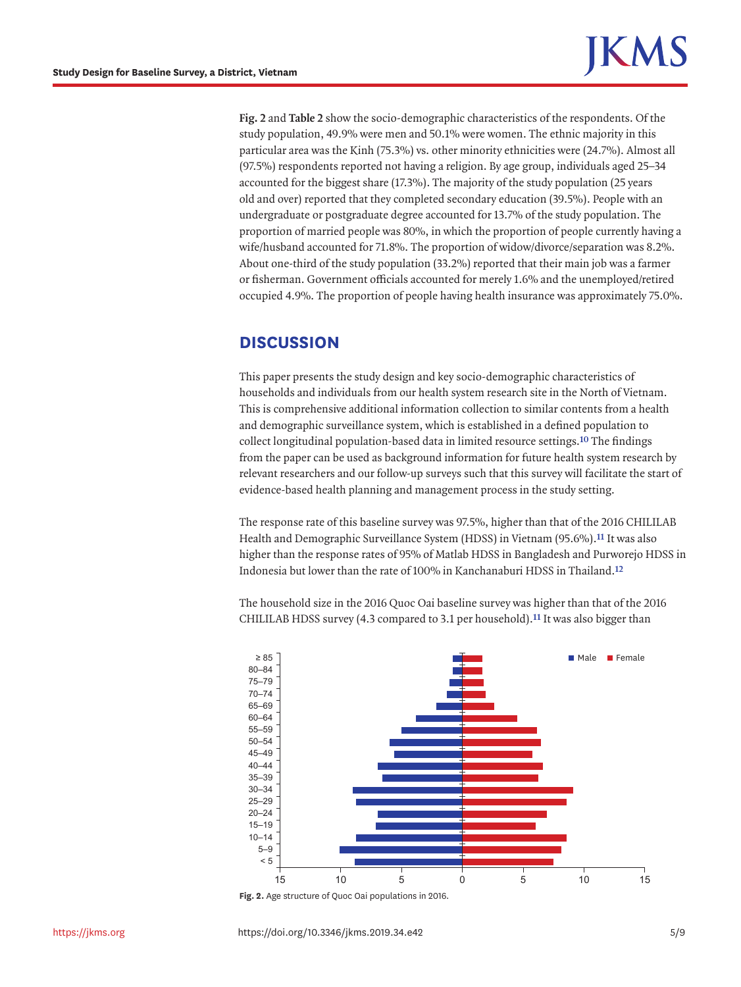**[Fig. 2](#page-4-0)** and **[Table 2](#page-5-0)** show the socio-demographic characteristics of the respondents. Of the study population, 49.9% were men and 50.1% were women. The ethnic majority in this particular area was the Kinh (75.3%) vs. other minority ethnicities were (24.7%). Almost all (97.5%) respondents reported not having a religion. By age group, individuals aged 25–34 accounted for the biggest share (17.3%). The majority of the study population (25 years old and over) reported that they completed secondary education (39.5%). People with an undergraduate or postgraduate degree accounted for 13.7% of the study population. The proportion of married people was 80%, in which the proportion of people currently having a wife/husband accounted for 71.8%. The proportion of widow/divorce/separation was 8.2%. About one-third of the study population (33.2%) reported that their main job was a farmer or fisherman. Government officials accounted for merely 1.6% and the unemployed/retired occupied 4.9%. The proportion of people having health insurance was approximately 75.0%.

# **DISCUSSION**

<span id="page-4-1"></span>This paper presents the study design and key socio-demographic characteristics of households and individuals from our health system research site in the North of Vietnam. This is comprehensive additional information collection to similar contents from a health and demographic surveillance system, which is established in a defined population to collect longitudinal population-based data in limited resource settings.**[10](#page-8-6)** The findings from the paper can be used as background information for future health system research by relevant researchers and our follow-up surveys such that this survey will facilitate the start of evidence-based health planning and management process in the study setting.

The response rate of this baseline survey was 97.5%, higher than that of the 2016 CHILILAB Health and Demographic Surveillance System (HDSS) in Vietnam (95.6%).**[11](#page-8-7)** It was also higher than the response rates of 95% of Matlab HDSS in Bangladesh and Purworejo HDSS in Indonesia but lower than the rate of 100% in Kanchanaburi HDSS in Thailand.**[12](#page-8-8)**

The household size in the 2016 Quoc Oai baseline survey was higher than that of the 2016 CHILILAB HDSS survey (4.3 compared to 3.1 per household).**[11](#page-8-7)** It was also bigger than

<span id="page-4-2"></span>

<span id="page-4-0"></span>**Fig. 2.** Age structure of Quoc Oai populations in 2016.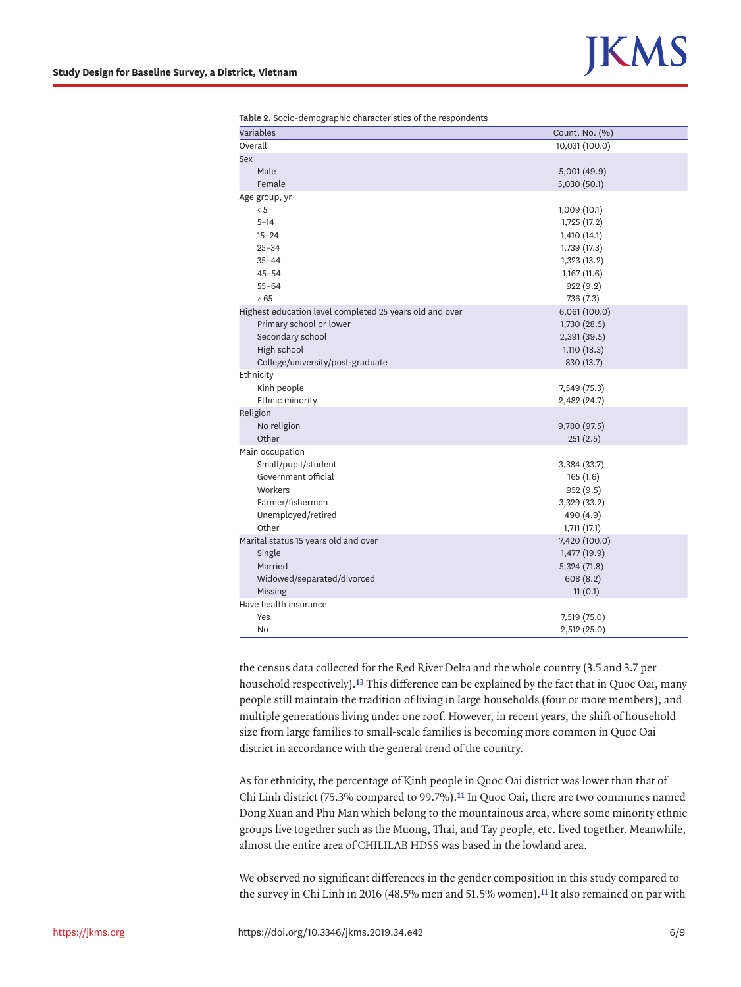| Variables                                               | Count, No. (%) |  |
|---------------------------------------------------------|----------------|--|
| Overall                                                 | 10,031 (100.0) |  |
| Sex                                                     |                |  |
| Male                                                    | 5,001 (49.9)   |  |
| Female                                                  | 5,030 (50.1)   |  |
| Age group, yr                                           |                |  |
| $\leq 5$                                                | 1,009 (10.1)   |  |
| $5 - 14$                                                | 1,725 (17.2)   |  |
| $15 - 24$                                               | 1,410 (14.1)   |  |
| $25 - 34$                                               | 1,739 (17.3)   |  |
| $35 - 44$                                               | 1,323 (13.2)   |  |
| $45 - 54$                                               | 1,167 (11.6)   |  |
| $55 - 64$                                               | 922(9.2)       |  |
| $\geq 65$                                               | 736 (7.3)      |  |
| Highest education level completed 25 years old and over | 6,061 (100.0)  |  |
| Primary school or lower                                 | 1,730 (28.5)   |  |
| Secondary school                                        | 2,391(39.5)    |  |
| High school                                             | 1,110 (18.3)   |  |
| College/university/post-graduate                        | 830 (13.7)     |  |
| Ethnicity                                               |                |  |
| Kinh people                                             | 7,549 (75.3)   |  |
| Ethnic minority                                         | 2,482 (24.7)   |  |
| Religion                                                |                |  |
| No religion                                             | 9,780 (97.5)   |  |
| Other                                                   | 251(2.5)       |  |
| Main occupation                                         |                |  |
| Small/pupil/student                                     | 3,384 (33.7)   |  |
| Government official                                     | 165(1.6)       |  |
| Workers                                                 | 952(9.5)       |  |
| Farmer/fishermen                                        | 3,329 (33.2)   |  |
| Unemployed/retired                                      | 490 (4.9)      |  |
| Other                                                   | 1,711 (17.1)   |  |
| Marital status 15 years old and over                    | 7,420 (100.0)  |  |
| Single                                                  | 1,477 (19.9)   |  |
| Married                                                 | 5,324 (71.8)   |  |
| Widowed/separated/divorced                              | 608(8.2)       |  |
| Missing                                                 | 11(0.1)        |  |
| Have health insurance                                   |                |  |
| Yes                                                     | 7,519 (75.0)   |  |
| <b>No</b>                                               | 2,512 (25.0)   |  |

<span id="page-5-0"></span>**Table 2.** Socio-demographic characteristics of the respondents

the census data collected for the Red River Delta and the whole country (3.5 and 3.7 per household respectively).**[13](#page-8-9)** This difference can be explained by the fact that in Quoc Oai, many people still maintain the tradition of living in large households (four or more members), and multiple generations living under one roof. However, in recent years, the shift of household size from large families to small-scale families is becoming more common in Quoc Oai district in accordance with the general trend of the country.

As for ethnicity, the percentage of Kinh people in Quoc Oai district was lower than that of Chi Linh district (75.3% compared to 99.7%).**[11](#page-8-7)** In Quoc Oai, there are two communes named Dong Xuan and Phu Man which belong to the mountainous area, where some minority ethnic groups live together such as the Muong, Thai, and Tay people, etc. lived together. Meanwhile, almost the entire area of CHILILAB HDSS was based in the lowland area.

We observed no significant differences in the gender composition in this study compared to the survey in Chi Linh in 2016 (48.5% men and 51.5% women).**[11](#page-8-7)** It also remained on par with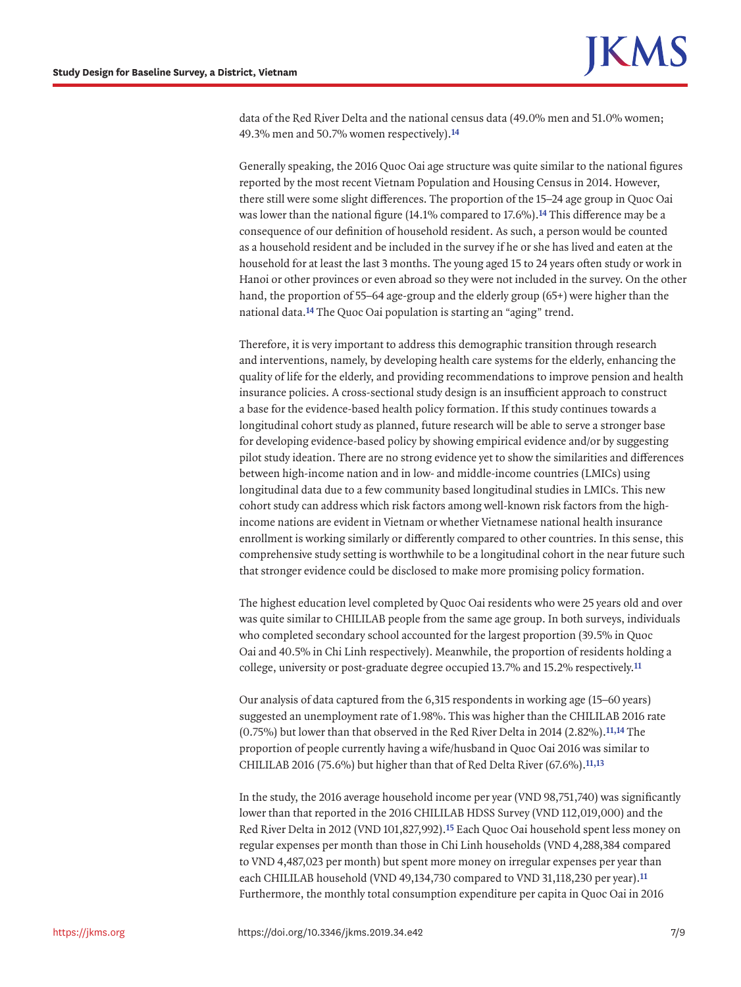data of the Red River Delta and the national census data (49.0% men and 51.0% women; 49.3% men and 50.7% women respectively).**[14](#page-8-10)**

Generally speaking, the 2016 Quoc Oai age structure was quite similar to the national figures reported by the most recent Vietnam Population and Housing Census in 2014. However, there still were some slight differences. The proportion of the 15–24 age group in Quoc Oai was lower than the national figure (14.1% compared to 17.6%).**[14](#page-8-10)** This difference may be a consequence of our definition of household resident. As such, a person would be counted as a household resident and be included in the survey if he or she has lived and eaten at the household for at least the last 3 months. The young aged 15 to 24 years often study or work in Hanoi or other provinces or even abroad so they were not included in the survey. On the other hand, the proportion of 55–64 age-group and the elderly group (65+) were higher than the national data.**[14](#page-8-10)** The Quoc Oai population is starting an "aging" trend.

Therefore, it is very important to address this demographic transition through research and interventions, namely, by developing health care systems for the elderly, enhancing the quality of life for the elderly, and providing recommendations to improve pension and health insurance policies. A cross-sectional study design is an insufficient approach to construct a base for the evidence-based health policy formation. If this study continues towards a longitudinal cohort study as planned, future research will be able to serve a stronger base for developing evidence-based policy by showing empirical evidence and/or by suggesting pilot study ideation. There are no strong evidence yet to show the similarities and differences between high-income nation and in low- and middle-income countries (LMICs) using longitudinal data due to a few community based longitudinal studies in LMICs. This new cohort study can address which risk factors among well-known risk factors from the highincome nations are evident in Vietnam or whether Vietnamese national health insurance enrollment is working similarly or differently compared to other countries. In this sense, this comprehensive study setting is worthwhile to be a longitudinal cohort in the near future such that stronger evidence could be disclosed to make more promising policy formation.

The highest education level completed by Quoc Oai residents who were 25 years old and over was quite similar to CHILILAB people from the same age group. In both surveys, individuals who completed secondary school accounted for the largest proportion (39.5% in Quoc Oai and 40.5% in Chi Linh respectively). Meanwhile, the proportion of residents holding a college, university or post-graduate degree occupied 13.7% and 15.2% respectively.**[11](#page-8-7)**

<span id="page-6-1"></span>Our analysis of data captured from the 6,315 respondents in working age (15–60 years) suggested an unemployment rate of 1.98%. This was higher than the CHILILAB 2016 rate (0.75%) but lower than that observed in the Red River Delta in 2014 (2.82%).**[11,](#page-8-7)[14](#page-8-10)** The proportion of people currently having a wife/husband in Quoc Oai 2016 was similar to CHILILAB 2016 (75.6%) but higher than that of Red Delta River (67.6%).**[11](#page-8-7)[,13](#page-8-9)**

<span id="page-6-0"></span>In the study, the 2016 average household income per year (VND 98,751,740) was significantly lower than that reported in the 2016 CHILILAB HDSS Survey (VND 112,019,000) and the Red River Delta in 2012 (VND 101,827,992).**[15](#page-8-11)** Each Quoc Oai household spent less money on regular expenses per month than those in Chi Linh households (VND 4,288,384 compared to VND 4,487,023 per month) but spent more money on irregular expenses per year than each CHILILAB household (VND 49,134,730 compared to VND 31,118,230 per year).**[11](#page-8-7)** Furthermore, the monthly total consumption expenditure per capita in Quoc Oai in 2016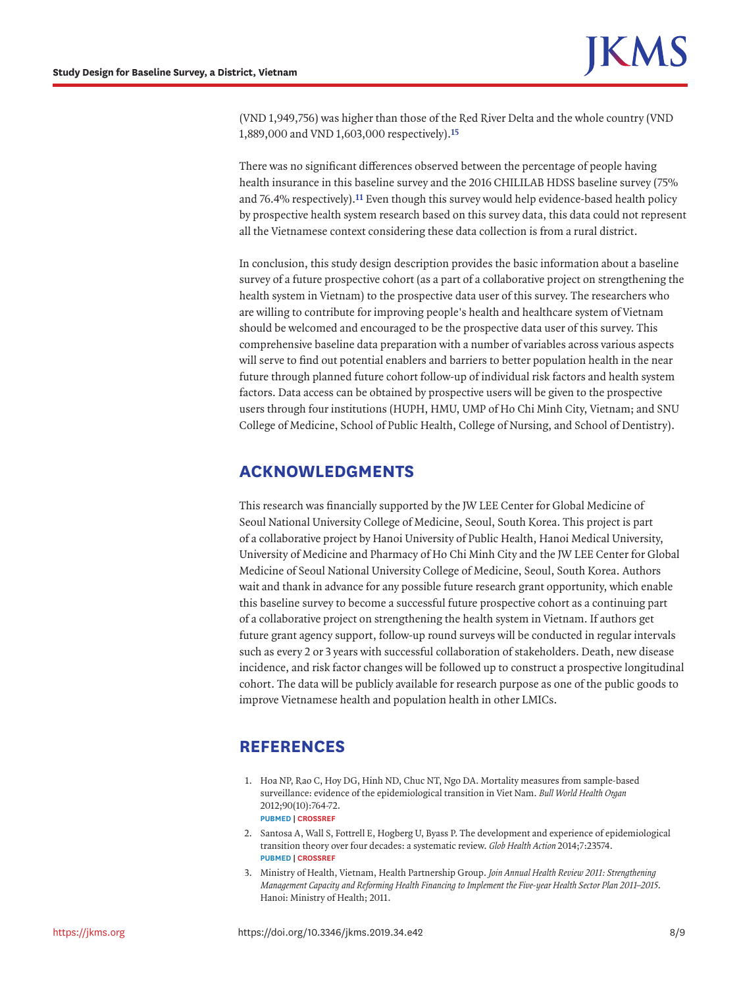<span id="page-7-4"></span>(VND 1,949,756) was higher than those of the Red River Delta and the whole country (VND 1,889,000 and VND 1,603,000 respectively).**[15](#page-8-11)**

<span id="page-7-3"></span>There was no significant differences observed between the percentage of people having health insurance in this baseline survey and the 2016 CHILILAB HDSS baseline survey (75% and 76.4% respectively).**[11](#page-8-7)** Even though this survey would help evidence-based health policy by prospective health system research based on this survey data, this data could not represent all the Vietnamese context considering these data collection is from a rural district.

In conclusion, this study design description provides the basic information about a baseline survey of a future prospective cohort (as a part of a collaborative project on strengthening the health system in Vietnam) to the prospective data user of this survey. The researchers who are willing to contribute for improving people's health and healthcare system of Vietnam should be welcomed and encouraged to be the prospective data user of this survey. This comprehensive baseline data preparation with a number of variables across various aspects will serve to find out potential enablers and barriers to better population health in the near future through planned future cohort follow-up of individual risk factors and health system factors. Data access can be obtained by prospective users will be given to the prospective users through four institutions (HUPH, HMU, UMP of Ho Chi Minh City, Vietnam; and SNU College of Medicine, School of Public Health, College of Nursing, and School of Dentistry).

# **ACKNOWLEDGMENTS**

This research was financially supported by the JW LEE Center for Global Medicine of Seoul National University College of Medicine, Seoul, South Korea. This project is part of a collaborative project by Hanoi University of Public Health, Hanoi Medical University, University of Medicine and Pharmacy of Ho Chi Minh City and the JW LEE Center for Global Medicine of Seoul National University College of Medicine, Seoul, South Korea. Authors wait and thank in advance for any possible future research grant opportunity, which enable this baseline survey to become a successful future prospective cohort as a continuing part of a collaborative project on strengthening the health system in Vietnam. If authors get future grant agency support, follow-up round surveys will be conducted in regular intervals such as every 2 or 3 years with successful collaboration of stakeholders. Death, new disease incidence, and risk factor changes will be followed up to construct a prospective longitudinal cohort. The data will be publicly available for research purpose as one of the public goods to improve Vietnamese health and population health in other LMICs.

# **REFERENCES**

- <span id="page-7-0"></span>[1.](#page-1-0) Hoa NP, Rao C, Hoy DG, Hinh ND, Chuc NT, Ngo DA. Mortality measures from sample-based surveillance: evidence of the epidemiological transition in Viet Nam. *Bull World Health Organ* 2012;90(10):764-72. **[PUBMED](http://www.ncbi.nlm.nih.gov/pubmed/23109744) | [CROSSREF](https://doi.org/10.2471/BLT.11.100750)**
- <span id="page-7-1"></span>[2.](#page-1-0) Santosa A, Wall S, Fottrell E, Hogberg U, Byass P. The development and experience of epidemiological transition theory over four decades: a systematic review. *Glob Health Action* 2014;7:23574. **[PUBMED](http://www.ncbi.nlm.nih.gov/pubmed/24848657) | [CROSSREF](https://doi.org/10.3402/gha.v7.23574)**
- <span id="page-7-2"></span>[3.](#page-1-1) Ministry of Health, Vietnam, Health Partnership Group. *Join Annual Health Review 2011: Strengthening Management Capacity and Reforming Health Financing to Implement the Five-year Health Sector Plan 2011–2015*. Hanoi: Ministry of Health; 2011.